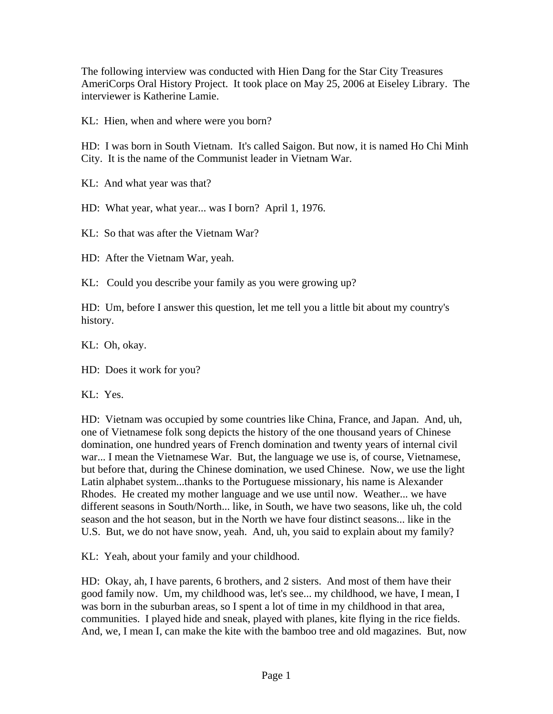The following interview was conducted with Hien Dang for the Star City Treasures AmeriCorps Oral History Project. It took place on May 25, 2006 at Eiseley Library. The interviewer is Katherine Lamie.

KL: Hien, when and where were you born?

HD: I was born in South Vietnam. It's called Saigon. But now, it is named Ho Chi Minh City. It is the name of the Communist leader in Vietnam War.

KL: And what year was that?

HD: What year, what year... was I born? April 1, 1976.

KL: So that was after the Vietnam War?

HD: After the Vietnam War, yeah.

KL: Could you describe your family as you were growing up?

HD: Um, before I answer this question, let me tell you a little bit about my country's history.

KL: Oh, okay.

HD: Does it work for you?

KL: Yes.

HD: Vietnam was occupied by some countries like China, France, and Japan. And, uh, one of Vietnamese folk song depicts the history of the one thousand years of Chinese domination, one hundred years of French domination and twenty years of internal civil war... I mean the Vietnamese War. But, the language we use is, of course, Vietnamese, but before that, during the Chinese domination, we used Chinese. Now, we use the light Latin alphabet system...thanks to the Portuguese missionary, his name is Alexander Rhodes. He created my mother language and we use until now. Weather... we have different seasons in South/North... like, in South, we have two seasons, like uh, the cold season and the hot season, but in the North we have four distinct seasons... like in the U.S. But, we do not have snow, yeah. And, uh, you said to explain about my family?

KL: Yeah, about your family and your childhood.

HD: Okay, ah, I have parents, 6 brothers, and 2 sisters. And most of them have their good family now. Um, my childhood was, let's see... my childhood, we have, I mean, I was born in the suburban areas, so I spent a lot of time in my childhood in that area, communities. I played hide and sneak, played with planes, kite flying in the rice fields. And, we, I mean I, can make the kite with the bamboo tree and old magazines. But, now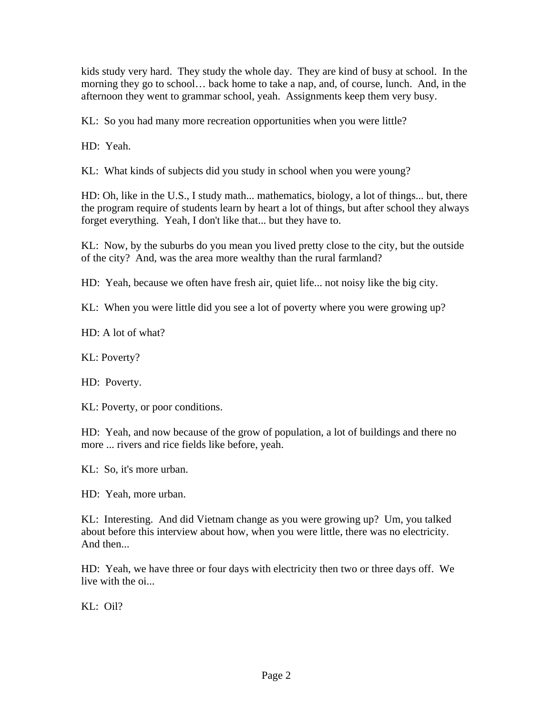kids study very hard. They study the whole day. They are kind of busy at school. In the morning they go to school… back home to take a nap, and, of course, lunch. And, in the afternoon they went to grammar school, yeah. Assignments keep them very busy.

KL: So you had many more recreation opportunities when you were little?

HD: Yeah.

KL: What kinds of subjects did you study in school when you were young?

HD: Oh, like in the U.S., I study math... mathematics, biology, a lot of things... but, there the program require of students learn by heart a lot of things, but after school they always forget everything. Yeah, I don't like that... but they have to.

KL: Now, by the suburbs do you mean you lived pretty close to the city, but the outside of the city? And, was the area more wealthy than the rural farmland?

HD: Yeah, because we often have fresh air, quiet life... not noisy like the big city.

KL: When you were little did you see a lot of poverty where you were growing up?

HD: A lot of what?

KL: Poverty?

HD: Poverty.

KL: Poverty, or poor conditions.

HD: Yeah, and now because of the grow of population, a lot of buildings and there no more ... rivers and rice fields like before, yeah.

KL: So, it's more urban.

HD: Yeah, more urban.

KL: Interesting. And did Vietnam change as you were growing up? Um, you talked about before this interview about how, when you were little, there was no electricity. And then...

HD: Yeah, we have three or four days with electricity then two or three days off. We live with the oi...

KL: Oil?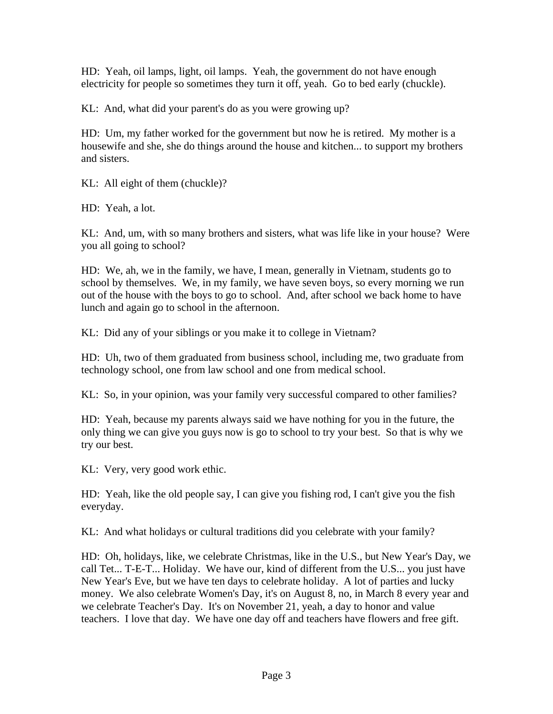HD: Yeah, oil lamps, light, oil lamps. Yeah, the government do not have enough electricity for people so sometimes they turn it off, yeah. Go to bed early (chuckle).

KL: And, what did your parent's do as you were growing up?

HD: Um, my father worked for the government but now he is retired. My mother is a housewife and she, she do things around the house and kitchen... to support my brothers and sisters.

KL: All eight of them (chuckle)?

HD: Yeah, a lot.

KL: And, um, with so many brothers and sisters, what was life like in your house? Were you all going to school?

HD: We, ah, we in the family, we have, I mean, generally in Vietnam, students go to school by themselves. We, in my family, we have seven boys, so every morning we run out of the house with the boys to go to school. And, after school we back home to have lunch and again go to school in the afternoon.

KL: Did any of your siblings or you make it to college in Vietnam?

HD: Uh, two of them graduated from business school, including me, two graduate from technology school, one from law school and one from medical school.

KL: So, in your opinion, was your family very successful compared to other families?

HD: Yeah, because my parents always said we have nothing for you in the future, the only thing we can give you guys now is go to school to try your best. So that is why we try our best.

KL: Very, very good work ethic.

HD: Yeah, like the old people say, I can give you fishing rod, I can't give you the fish everyday.

KL: And what holidays or cultural traditions did you celebrate with your family?

HD: Oh, holidays, like, we celebrate Christmas, like in the U.S., but New Year's Day, we call Tet... T-E-T... Holiday. We have our, kind of different from the U.S... you just have New Year's Eve, but we have ten days to celebrate holiday. A lot of parties and lucky money. We also celebrate Women's Day, it's on August 8, no, in March 8 every year and we celebrate Teacher's Day. It's on November 21, yeah, a day to honor and value teachers. I love that day. We have one day off and teachers have flowers and free gift.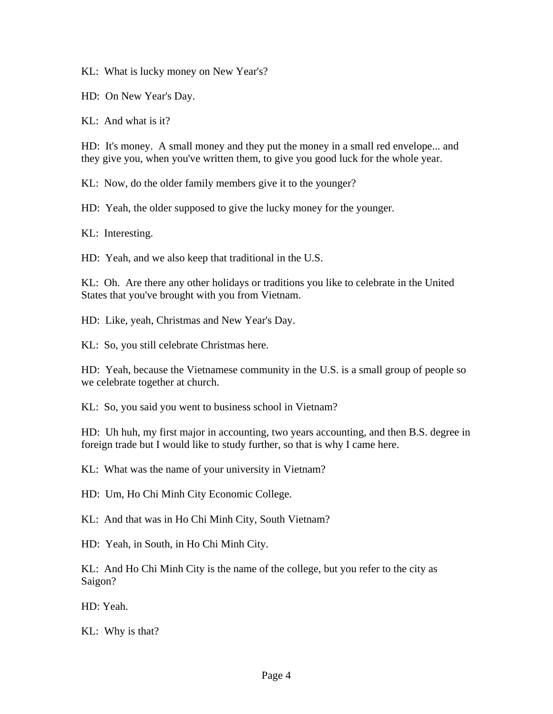KL: What is lucky money on New Year's?

HD: On New Year's Day.

 $KL:$  And what is it?

HD: It's money. A small money and they put the money in a small red envelope... and they give you, when you've written them, to give you good luck for the whole year.

KL: Now, do the older family members give it to the younger?

HD: Yeah, the older supposed to give the lucky money for the younger.

KL: Interesting.

HD: Yeah, and we also keep that traditional in the U.S.

KL: Oh. Are there any other holidays or traditions you like to celebrate in the United States that you've brought with you from Vietnam.

HD: Like, yeah, Christmas and New Year's Day.

KL: So, you still celebrate Christmas here.

HD: Yeah, because the Vietnamese community in the U.S. is a small group of people so we celebrate together at church.

KL: So, you said you went to business school in Vietnam?

HD: Uh huh, my first major in accounting, two years accounting, and then B.S. degree in foreign trade but I would like to study further, so that is why I came here.

KL: What was the name of your university in Vietnam?

HD: Um, Ho Chi Minh City Economic College.

KL: And that was in Ho Chi Minh City, South Vietnam?

HD: Yeah, in South, in Ho Chi Minh City.

KL: And Ho Chi Minh City is the name of the college, but you refer to the city as Saigon?

HD: Yeah.

KL: Why is that?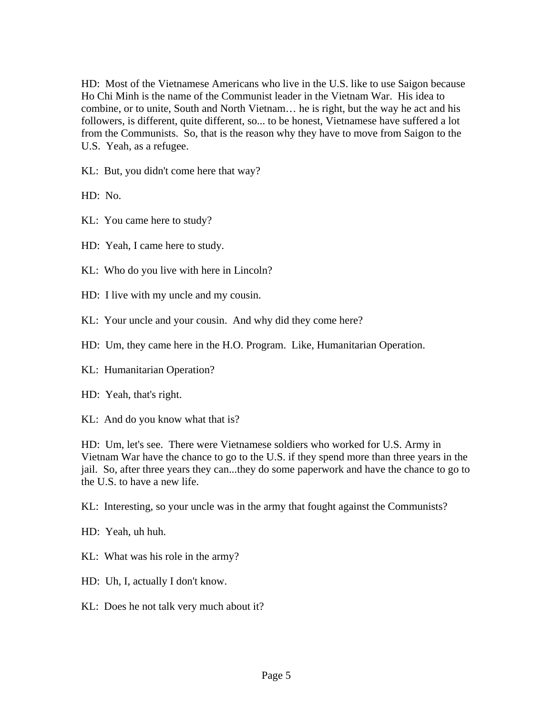HD: Most of the Vietnamese Americans who live in the U.S. like to use Saigon because Ho Chi Minh is the name of the Communist leader in the Vietnam War. His idea to combine, or to unite, South and North Vietnam… he is right, but the way he act and his followers, is different, quite different, so... to be honest, Vietnamese have suffered a lot from the Communists. So, that is the reason why they have to move from Saigon to the U.S. Yeah, as a refugee.

KL: But, you didn't come here that way?

HD: No.

KL: You came here to study?

HD: Yeah, I came here to study.

KL: Who do you live with here in Lincoln?

HD: I live with my uncle and my cousin.

KL: Your uncle and your cousin. And why did they come here?

HD: Um, they came here in the H.O. Program. Like, Humanitarian Operation.

KL: Humanitarian Operation?

HD: Yeah, that's right.

KL: And do you know what that is?

HD: Um, let's see. There were Vietnamese soldiers who worked for U.S. Army in Vietnam War have the chance to go to the U.S. if they spend more than three years in the jail. So, after three years they can...they do some paperwork and have the chance to go to the U.S. to have a new life.

KL: Interesting, so your uncle was in the army that fought against the Communists?

HD: Yeah, uh huh.

KL: What was his role in the army?

HD: Uh, I, actually I don't know.

KL: Does he not talk very much about it?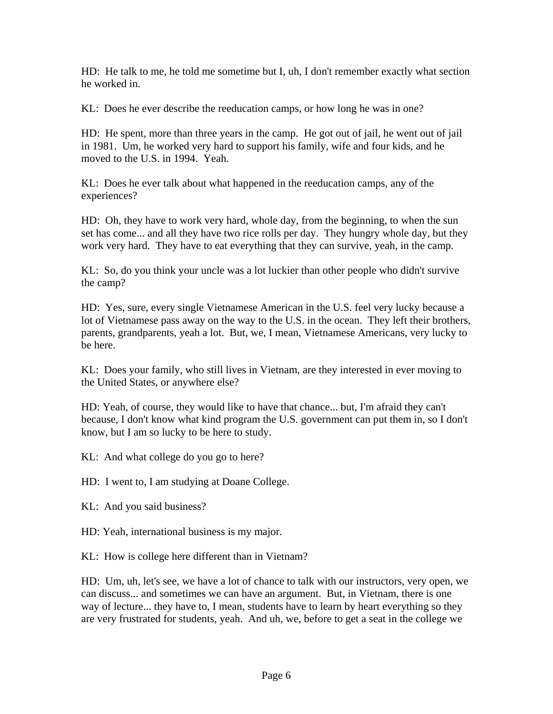HD: He talk to me, he told me sometime but I, uh, I don't remember exactly what section he worked in.

KL: Does he ever describe the reeducation camps, or how long he was in one?

HD: He spent, more than three years in the camp. He got out of jail, he went out of jail in 1981. Um, he worked very hard to support his family, wife and four kids, and he moved to the U.S. in 1994. Yeah.

KL: Does he ever talk about what happened in the reeducation camps, any of the experiences?

HD: Oh, they have to work very hard, whole day, from the beginning, to when the sun set has come... and all they have two rice rolls per day. They hungry whole day, but they work very hard. They have to eat everything that they can survive, yeah, in the camp.

KL: So, do you think your uncle was a lot luckier than other people who didn't survive the camp?

HD: Yes, sure, every single Vietnamese American in the U.S. feel very lucky because a lot of Vietnamese pass away on the way to the U.S. in the ocean. They left their brothers, parents, grandparents, yeah a lot. But, we, I mean, Vietnamese Americans, very lucky to be here.

KL: Does your family, who still lives in Vietnam, are they interested in ever moving to the United States, or anywhere else?

HD: Yeah, of course, they would like to have that chance... but, I'm afraid they can't because, I don't know what kind program the U.S. government can put them in, so I don't know, but I am so lucky to be here to study.

KL: And what college do you go to here?

HD: I went to, I am studying at Doane College.

KL: And you said business?

HD: Yeah, international business is my major.

KL: How is college here different than in Vietnam?

HD: Um, uh, let's see, we have a lot of chance to talk with our instructors, very open, we can discuss... and sometimes we can have an argument. But, in Vietnam, there is one way of lecture... they have to, I mean, students have to learn by heart everything so they are very frustrated for students, yeah. And uh, we, before to get a seat in the college we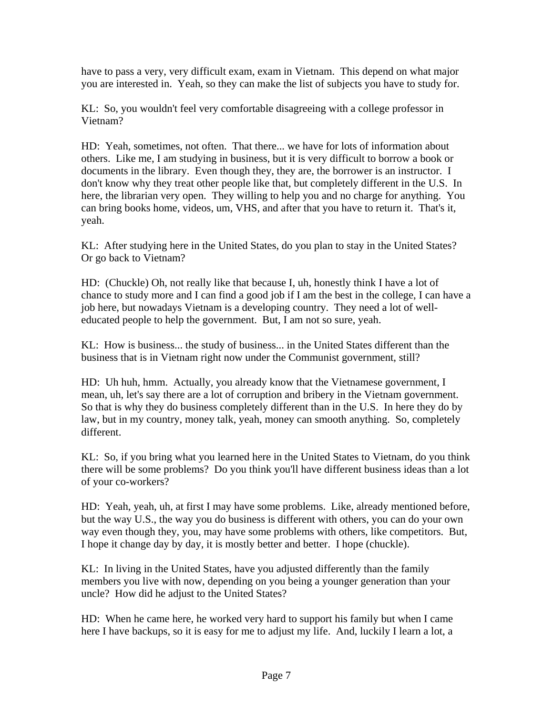have to pass a very, very difficult exam, exam in Vietnam. This depend on what major you are interested in. Yeah, so they can make the list of subjects you have to study for.

KL: So, you wouldn't feel very comfortable disagreeing with a college professor in Vietnam?

HD: Yeah, sometimes, not often. That there... we have for lots of information about others. Like me, I am studying in business, but it is very difficult to borrow a book or documents in the library. Even though they, they are, the borrower is an instructor. I don't know why they treat other people like that, but completely different in the U.S. In here, the librarian very open. They willing to help you and no charge for anything. You can bring books home, videos, um, VHS, and after that you have to return it. That's it, yeah.

KL: After studying here in the United States, do you plan to stay in the United States? Or go back to Vietnam?

HD: (Chuckle) Oh, not really like that because I, uh, honestly think I have a lot of chance to study more and I can find a good job if I am the best in the college, I can have a job here, but nowadays Vietnam is a developing country. They need a lot of welleducated people to help the government. But, I am not so sure, yeah.

KL: How is business... the study of business... in the United States different than the business that is in Vietnam right now under the Communist government, still?

HD: Uh huh, hmm. Actually, you already know that the Vietnamese government, I mean, uh, let's say there are a lot of corruption and bribery in the Vietnam government. So that is why they do business completely different than in the U.S. In here they do by law, but in my country, money talk, yeah, money can smooth anything. So, completely different.

KL: So, if you bring what you learned here in the United States to Vietnam, do you think there will be some problems? Do you think you'll have different business ideas than a lot of your co-workers?

HD: Yeah, yeah, uh, at first I may have some problems. Like, already mentioned before, but the way U.S., the way you do business is different with others, you can do your own way even though they, you, may have some problems with others, like competitors. But, I hope it change day by day, it is mostly better and better. I hope (chuckle).

KL: In living in the United States, have you adjusted differently than the family members you live with now, depending on you being a younger generation than your uncle? How did he adjust to the United States?

HD: When he came here, he worked very hard to support his family but when I came here I have backups, so it is easy for me to adjust my life. And, luckily I learn a lot, a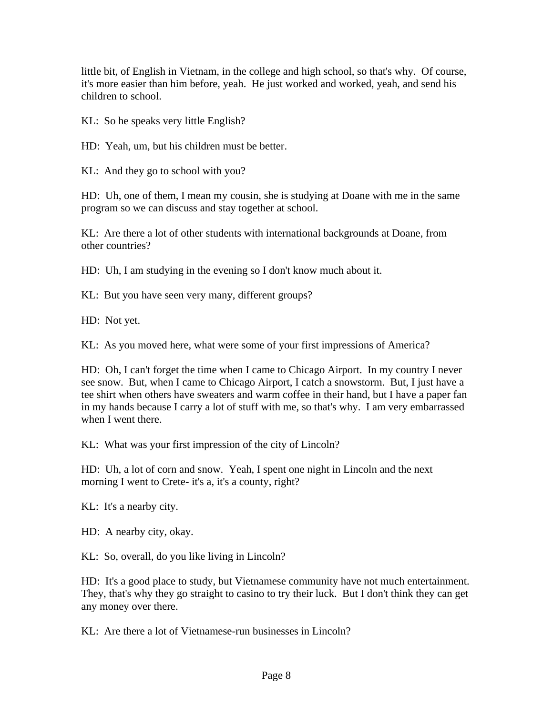little bit, of English in Vietnam, in the college and high school, so that's why. Of course, it's more easier than him before, yeah. He just worked and worked, yeah, and send his children to school.

KL: So he speaks very little English?

HD: Yeah, um, but his children must be better.

KL: And they go to school with you?

HD: Uh, one of them, I mean my cousin, she is studying at Doane with me in the same program so we can discuss and stay together at school.

KL: Are there a lot of other students with international backgrounds at Doane, from other countries?

HD: Uh, I am studying in the evening so I don't know much about it.

KL: But you have seen very many, different groups?

HD: Not yet.

KL: As you moved here, what were some of your first impressions of America?

HD: Oh, I can't forget the time when I came to Chicago Airport. In my country I never see snow. But, when I came to Chicago Airport, I catch a snowstorm. But, I just have a tee shirt when others have sweaters and warm coffee in their hand, but I have a paper fan in my hands because I carry a lot of stuff with me, so that's why. I am very embarrassed when I went there.

KL: What was your first impression of the city of Lincoln?

HD: Uh, a lot of corn and snow. Yeah, I spent one night in Lincoln and the next morning I went to Crete- it's a, it's a county, right?

KL: It's a nearby city.

HD: A nearby city, okay.

KL: So, overall, do you like living in Lincoln?

HD: It's a good place to study, but Vietnamese community have not much entertainment. They, that's why they go straight to casino to try their luck. But I don't think they can get any money over there.

KL: Are there a lot of Vietnamese-run businesses in Lincoln?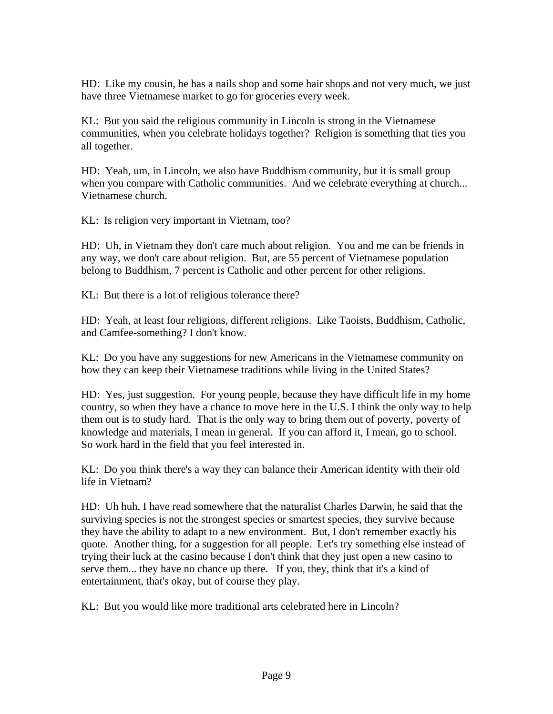HD: Like my cousin, he has a nails shop and some hair shops and not very much, we just have three Vietnamese market to go for groceries every week.

KL: But you said the religious community in Lincoln is strong in the Vietnamese communities, when you celebrate holidays together? Religion is something that ties you all together.

HD: Yeah, um, in Lincoln, we also have Buddhism community, but it is small group when you compare with Catholic communities. And we celebrate everything at church... Vietnamese church.

KL: Is religion very important in Vietnam, too?

HD: Uh, in Vietnam they don't care much about religion. You and me can be friends in any way, we don't care about religion. But, are 55 percent of Vietnamese population belong to Buddhism, 7 percent is Catholic and other percent for other religions.

KL: But there is a lot of religious tolerance there?

HD: Yeah, at least four religions, different religions. Like Taoists, Buddhism, Catholic, and Camfee-something? I don't know.

KL: Do you have any suggestions for new Americans in the Vietnamese community on how they can keep their Vietnamese traditions while living in the United States?

HD: Yes, just suggestion. For young people, because they have difficult life in my home country, so when they have a chance to move here in the U.S. I think the only way to help them out is to study hard. That is the only way to bring them out of poverty, poverty of knowledge and materials, I mean in general. If you can afford it, I mean, go to school. So work hard in the field that you feel interested in.

KL: Do you think there's a way they can balance their American identity with their old life in Vietnam?

HD: Uh huh, I have read somewhere that the naturalist Charles Darwin, he said that the surviving species is not the strongest species or smartest species, they survive because they have the ability to adapt to a new environment. But, I don't remember exactly his quote. Another thing, for a suggestion for all people. Let's try something else instead of trying their luck at the casino because I don't think that they just open a new casino to serve them... they have no chance up there. If you, they, think that it's a kind of entertainment, that's okay, but of course they play.

KL: But you would like more traditional arts celebrated here in Lincoln?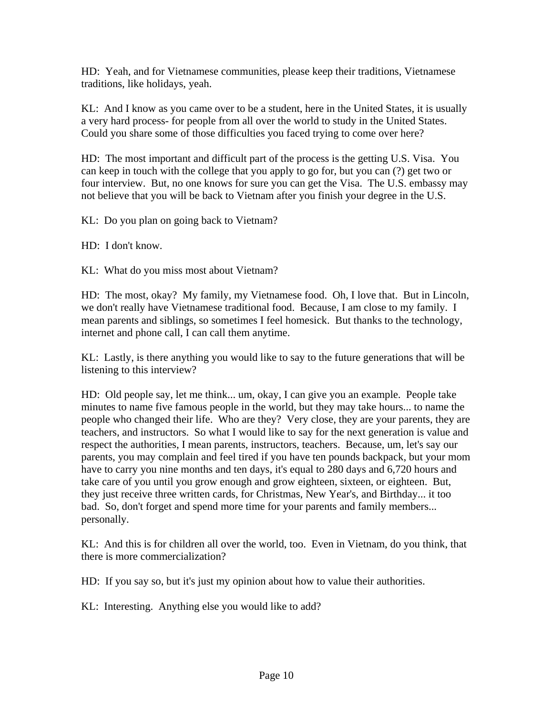HD: Yeah, and for Vietnamese communities, please keep their traditions, Vietnamese traditions, like holidays, yeah.

KL: And I know as you came over to be a student, here in the United States, it is usually a very hard process- for people from all over the world to study in the United States. Could you share some of those difficulties you faced trying to come over here?

HD: The most important and difficult part of the process is the getting U.S. Visa. You can keep in touch with the college that you apply to go for, but you can (?) get two or four interview. But, no one knows for sure you can get the Visa. The U.S. embassy may not believe that you will be back to Vietnam after you finish your degree in the U.S.

KL: Do you plan on going back to Vietnam?

HD: I don't know.

KL: What do you miss most about Vietnam?

HD: The most, okay? My family, my Vietnamese food. Oh, I love that. But in Lincoln, we don't really have Vietnamese traditional food. Because, I am close to my family. I mean parents and siblings, so sometimes I feel homesick. But thanks to the technology, internet and phone call, I can call them anytime.

KL: Lastly, is there anything you would like to say to the future generations that will be listening to this interview?

HD: Old people say, let me think... um, okay, I can give you an example. People take minutes to name five famous people in the world, but they may take hours... to name the people who changed their life. Who are they? Very close, they are your parents, they are teachers, and instructors. So what I would like to say for the next generation is value and respect the authorities, I mean parents, instructors, teachers. Because, um, let's say our parents, you may complain and feel tired if you have ten pounds backpack, but your mom have to carry you nine months and ten days, it's equal to 280 days and 6,720 hours and take care of you until you grow enough and grow eighteen, sixteen, or eighteen. But, they just receive three written cards, for Christmas, New Year's, and Birthday... it too bad. So, don't forget and spend more time for your parents and family members... personally.

KL: And this is for children all over the world, too. Even in Vietnam, do you think, that there is more commercialization?

HD: If you say so, but it's just my opinion about how to value their authorities.

KL: Interesting. Anything else you would like to add?